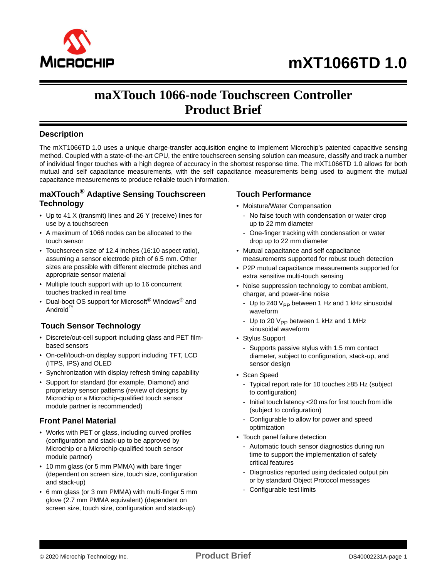

# **maXTouch 1066-node Touchscreen Controller Product Brief**

#### **Description**

The mXT1066TD 1.0 uses a unique charge-transfer acquisition engine to implement Microchip's patented capacitive sensing method. Coupled with a state-of-the-art CPU, the entire touchscreen sensing solution can measure, classify and track a number of individual finger touches with a high degree of accuracy in the shortest response time. The mXT1066TD 1.0 allows for both mutual and self capacitance measurements, with the self capacitance measurements being used to augment the mutual capacitance measurements to produce reliable touch information.

### **maXTouch® Adaptive Sensing Touchscreen Technology**

- Up to 41 X (transmit) lines and 26 Y (receive) lines for use by a touchscreen
- A maximum of 1066 nodes can be allocated to the touch sensor
- Touchscreen size of 12.4 inches (16:10 aspect ratio), assuming a sensor electrode pitch of 6.5 mm. Other sizes are possible with different electrode pitches and appropriate sensor material
- Multiple touch support with up to 16 concurrent touches tracked in real time
- Dual-boot OS support for Microsoft<sup>®</sup> Windows<sup>®</sup> and Android™

#### **Touch Sensor Technology**

- Discrete/out-cell support including glass and PET filmbased sensors
- On-cell/touch-on display support including TFT, LCD (ITPS, IPS) and OLED
- Synchronization with display refresh timing capability
- Support for standard (for example, Diamond) and proprietary sensor patterns (review of designs by Microchip or a Microchip-qualified touch sensor module partner is recommended)

#### **Front Panel Material**

- Works with PET or glass, including curved profiles (configuration and stack-up to be approved by Microchip or a Microchip-qualified touch sensor module partner)
- 10 mm glass (or 5 mm PMMA) with bare finger (dependent on screen size, touch size, configuration and stack-up)
- 6 mm glass (or 3 mm PMMA) with multi-finger 5 mm glove (2.7 mm PMMA equivalent) (dependent on screen size, touch size, configuration and stack-up)

#### **Touch Performance**

- Moisture/Water Compensation
	- No false touch with condensation or water drop up to 22 mm diameter
	- One-finger tracking with condensation or water drop up to 22 mm diameter
- Mutual capacitance and self capacitance measurements supported for robust touch detection
- P2P mutual capacitance measurements supported for extra sensitive multi-touch sensing
- Noise suppression technology to combat ambient, charger, and power-line noise
	- Up to 240  $V_{\text{PP}}$  between 1 Hz and 1 kHz sinusoidal waveform
	- Up to 20  $V_{PP}$  between 1 kHz and 1 MHz sinusoidal waveform
- Stylus Support
	- Supports passive stylus with 1.5 mm contact diameter, subject to configuration, stack-up, and sensor design
- Scan Speed
	- Typical report rate for 10 touches  $\geq$ 85 Hz (subject to configuration)
	- Initial touch latency <20 ms for first touch from idle (subject to configuration)
	- Configurable to allow for power and speed optimization
- Touch panel failure detection
	- Automatic touch sensor diagnostics during run time to support the implementation of safety critical features
	- Diagnostics reported using dedicated output pin or by standard Object Protocol messages
	- Configurable test limits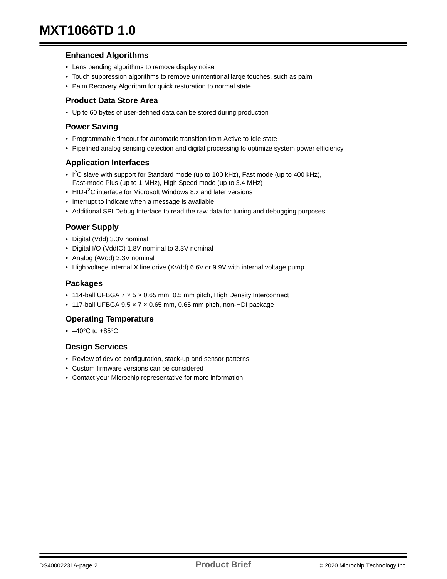#### **Enhanced Algorithms**

- Lens bending algorithms to remove display noise
- Touch suppression algorithms to remove unintentional large touches, such as palm
- Palm Recovery Algorithm for quick restoration to normal state

#### **Product Data Store Area**

• Up to 60 bytes of user-defined data can be stored during production

#### **Power Saving**

- Programmable timeout for automatic transition from Active to Idle state
- Pipelined analog sensing detection and digital processing to optimize system power efficiency

#### **Application Interfaces**

- $\cdot$  1<sup>2</sup>C slave with support for Standard mode (up to 100 kHz), Fast mode (up to 400 kHz), Fast-mode Plus (up to 1 MHz), High Speed mode (up to 3.4 MHz)
- HID-I<sup>2</sup>C interface for Microsoft Windows 8.x and later versions
- Interrupt to indicate when a message is available
- Additional SPI Debug Interface to read the raw data for tuning and debugging purposes

#### **Power Supply**

- Digital (Vdd) 3.3V nominal
- Digital I/O (VddIO) 1.8V nominal to 3.3V nominal
- Analog (AVdd) 3.3V nominal
- High voltage internal X line drive (XVdd) 6.6V or 9.9V with internal voltage pump

#### **Packages**

- 114-ball UFBGA 7 x 5 x 0.65 mm, 0.5 mm pitch, High Density Interconnect
- 117-ball UFBGA  $9.5 \times 7 \times 0.65$  mm, 0.65 mm pitch, non-HDI package

#### **Operating Temperature**

 $\cdot$  -40°C to +85°C

#### **Design Services**

- Review of device configuration, stack-up and sensor patterns
- Custom firmware versions can be considered
- Contact your Microchip representative for more information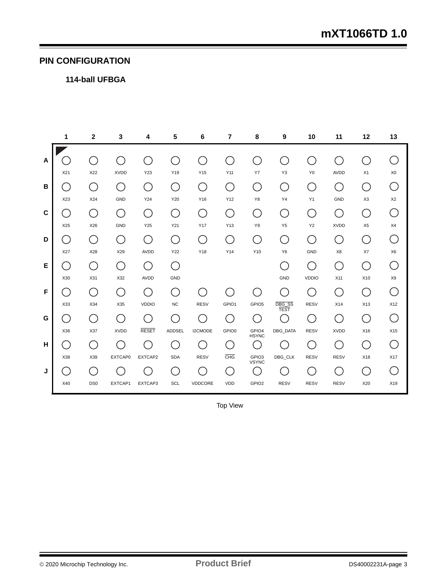### **PIN CONFIGURATION**

### **114-ball UFBGA**

|   | 1   | 2                     | 3                 | 4            | 5             | 6                        | 7     | 8                                                                | 9                       | 10             | 11                           | 12             | 13             |
|---|-----|-----------------------|-------------------|--------------|---------------|--------------------------|-------|------------------------------------------------------------------|-------------------------|----------------|------------------------------|----------------|----------------|
| A | X21 | X22                   | <b>XVDD</b>       | Y23          | Y19           | $\sim$ $^{\circ}$<br>Y15 | Y11   | $\left( \begin{array}{c} \cdot \end{array} \right)$<br><b>Y7</b> | - 1<br>Y3               | Y <sub>0</sub> | <b>AVDD</b>                  | X1             | X <sub>0</sub> |
| В | X23 | 75<br>X24             | i<br>Listo<br>GND | r.<br>Y24    | Y20           | n i<br>Y16               | Y12   | Y8                                                               | Y4                      | h.<br>Y1       | h.<br>GND                    | n.<br>X3       | X <sub>2</sub> |
| C | X25 | X26                   | GND               | Y25          | n.<br>Y21     | Y17                      | Y13   | Y9                                                               | Y <sub>5</sub>          | a i<br>Y2      | (<br><b>XVDD</b>             | X <sub>5</sub> | X4             |
| D | X27 | n.<br>X28             | X29               | <b>AVDD</b>  | Y22           | r.<br>Y18                | Y14   | Y10                                                              | Y <sub>6</sub>          | <b>GND</b>     | X8                           | X7             | X6             |
| Е | X30 | X31                   | X32               | <b>AVDD</b>  | GND           |                          |       |                                                                  | GND                     | <b>VDDIO</b>   | .<br>.<br>X11                | X10            | X9             |
| F | X33 | .,<br>X34             | n.<br>X35         | <b>VDDIO</b> | <b>NC</b>     | <b>RESV</b>              | GPIO1 | GPIO <sub>5</sub>                                                | n.<br>DBG_SS            | <b>RESV</b>    | h.<br>X14                    | r 1<br>X13     | X12            |
| G | X36 | X37                   | <b>XVDD</b>       | <b>RESET</b> | <b>ADDSEL</b> | I2CMODE                  | GPIO0 | GPIO4                                                            | <b>TEST</b><br>DBG_DATA | <b>RESV</b>    | $\mathcal{L}$<br><b>XVDD</b> | n.<br>X16      | X15            |
| н | X38 | X39                   | EXTCAP0           | EXTCAP2      | <b>SDA</b>    | <b>RESV</b>              | CHG   | <b>HSYNC</b><br>GPIO <sub>3</sub>                                | DBG_CLK                 | <b>RESV</b>    | C .<br><b>RESV</b>           | X18            | X17            |
| J | X40 | t,<br>DS <sub>0</sub> | EXTCAP1           | EXTCAP3      | SCL           | 78<br>VDDCORE            | VDD   | <b>VSYNC</b><br>GPIO <sub>2</sub>                                | <b>RESV</b>             | <b>RESV</b>    | ( )<br><b>RESV</b>           | n.<br>X20      | X19            |

Top View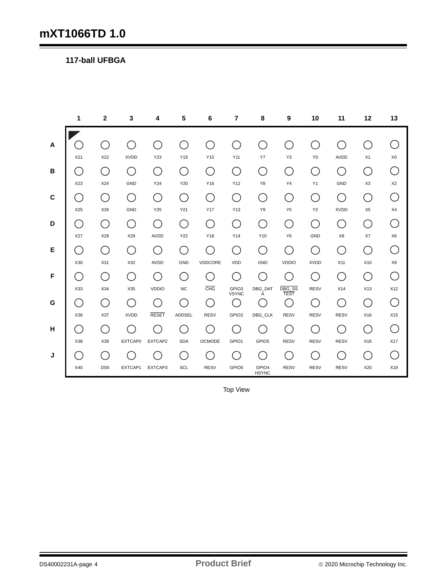# **mXT1066TD 1.0**

**117-ball UFBGA**

|              | 1   | 2                      | 3           | 4                  | 5               | 6                 | 7                                 | 8                     | 9                          | 10                                       | 11          | 12                                            | 13                   |
|--------------|-----|------------------------|-------------|--------------------|-----------------|-------------------|-----------------------------------|-----------------------|----------------------------|------------------------------------------|-------------|-----------------------------------------------|----------------------|
| $\mathsf{A}$ | X21 | X22                    | <b>XVDD</b> | Y23                | Y19             | Y15               | Y11                               | Y7                    | Y3                         | Y <sub>0</sub>                           | <b>AVDD</b> | X <sub>1</sub>                                | X <sub>0</sub>       |
| B            | X23 | X24                    | n a<br>GND  | 78<br>Y24          | Y20             | Y16               | n.<br>Y12                         | Y8                    | Y4                         | n.<br>Y1                                 | <b>GND</b>  | X <sub>3</sub>                                | Γ.<br>X <sub>2</sub> |
| $\mathbf c$  | X25 | X26                    | GND         | r.<br>Y25          | O<br>Y21        | Y17               | h.<br>Y13                         | n.<br>Y9              | i i<br>Y <sub>5</sub>      | $\mathcal{L}_{\mathcal{A}}$<br><b>Y2</b> | <b>XVDD</b> | $\mathcal{L}_{\mathcal{A}}$<br>X <sub>5</sub> | X4                   |
| D            | X27 | X28                    | X29         | <b>AVDD</b>        | Y22             | Y18               | n.<br>Y14                         | Y10                   | Y <sub>6</sub>             | C .<br><b>GND</b>                        | X8          | an i<br>X7                                    | X <sub>6</sub>       |
| Е            | X30 | X31                    | X32         | <b>AVDD</b>        | GND             | VDDCORE           | t.<br>VDD                         | GND                   | <b>VDDIO</b>               | in.<br><b>XVDD</b>                       | X11         | X10                                           | X9                   |
| F            | X33 | C.<br>X34              | L.<br>X35   | n.<br><b>VDDIO</b> | n.<br><b>NC</b> | <b>CHG</b>        | $\mathcal{L}$<br>GPIO3            | DBG_DAT               | DBG_SS                     | $\mathcal{L}$<br><b>RESV</b>             | X14         | C .<br>X13                                    | X12                  |
| G            | X36 | X37                    | <b>XVDD</b> | <b>RESET</b>       | <b>ADDSEL</b>   | <b>RESV</b>       | <b>VSYNC</b><br>GPIO <sub>2</sub> | A<br>DBG_CLK          | <b>TEST</b><br><b>RESV</b> | <b>RESV</b>                              | <b>RESV</b> | X16                                           | C .<br>X15           |
| н            | X38 | X39                    | EXTCAP0     | EXTCAP2            | <b>SDA</b>      | I2CMODE           | n.<br>GPIO1                       | GPIO5                 | <b>RESV</b>                | 75<br><b>RESV</b>                        | <b>RESV</b> | X18                                           | X17                  |
| J            | X40 | t i<br>DS <sub>0</sub> | EXTCAP1     | EXTCAP3            | <b>SCL</b>      | 75<br><b>RESV</b> | r.<br>GPIO0                       | GPIO4<br><b>HSYNC</b> | n.<br><b>RESV</b>          | C .<br><b>RESV</b>                       | <b>RESV</b> | n 11<br>X20                                   | X19                  |

Top View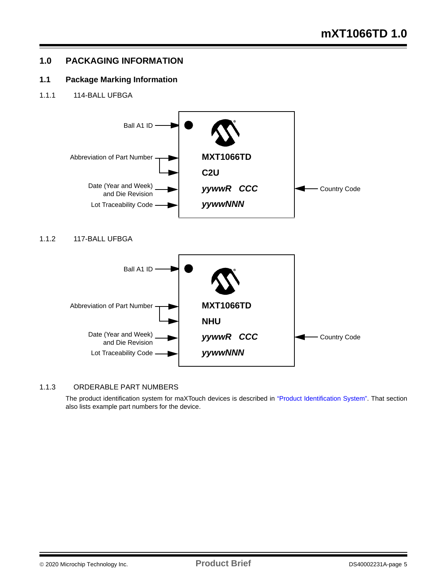### **1.0 PACKAGING INFORMATION**

#### **1.1 Package Marking Information**

1.1.1 114-BALL UFBGA



#### 1.1.3 ORDERABLE PART NUMBERS

The product identification system for maXTouch devices is described in ["Product Identification System"](#page-12-0). That section also lists example part numbers for the device.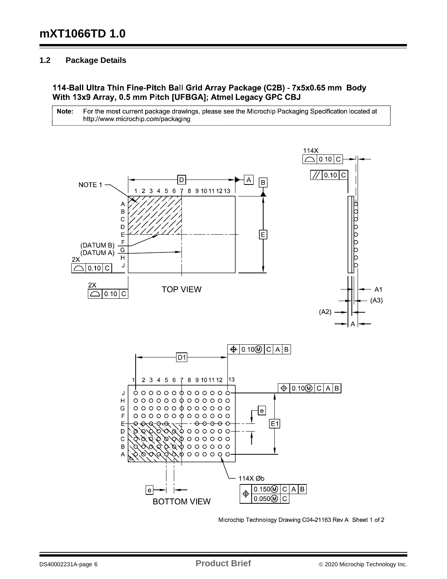#### **1.2 Package Details**

#### 114-Ball Ultra Thin Fine-Pitch Ball Grid Array Package (C2B) - 7x5x0.65 mm Body With 13x9 Array, 0.5 mm Pitch [UFBGA]; Atmel Legacy GPC CBJ

Note: For the most current package drawings, please see the Microchip Packaging Specification located at http://www.microchip.com/packaging



Microchip Technology Drawing C04-21163 Rev A Sheet 1 of 2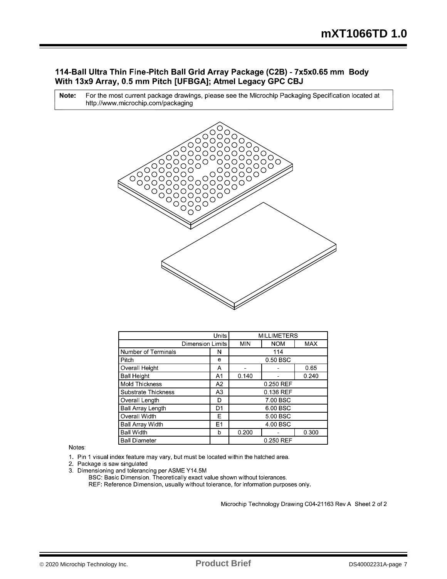#### 114-Ball Ultra Thin Fine-Pitch Ball Grid Array Package (C2B) - 7x5x0.65 mm Body With 13x9 Array, 0.5 mm Pitch [UFBGA]; Atmel Legacy GPC CBJ

Note: For the most current package drawings, please see the Microchip Packaging Specification located at http://www.microchip.com/packaging



|                          | Units          |            | <b>MILLIMETERS</b> |            |
|--------------------------|----------------|------------|--------------------|------------|
| Dimension Limits         |                | <b>MIN</b> | <b>NOM</b>         | <b>MAX</b> |
| Number of Terminals      | N              |            | 114                |            |
| Pitch                    | e              |            | 0.50 BSC           |            |
| <b>Overall Height</b>    | Α              |            |                    | 0.65       |
| <b>Ball Height</b>       | A1             | 0.140      |                    | 0.240      |
| Mold Thickness           | A2             |            | 0.250 REF          |            |
| Substrate Thickness      | A3             |            | 0.136 REF          |            |
| Overall Length           | D              |            | 7.00 BSC           |            |
| <b>Ball Array Length</b> | D <sub>1</sub> |            | 6.00 BSC           |            |
| Overall Width            | Е              |            | 5.00 BSC           |            |
| <b>Ball Array Width</b>  | E1             |            | 4.00 BSC           |            |
| <b>Ball Width</b>        | b              | 0.200      |                    | 0.300      |
| <b>Ball Diameter</b>     |                |            | 0 250 REF          |            |

Notes:

- 1. Pin 1 visual index feature may vary, but must be located within the hatched area.
- 2. Package is saw singulated
- 3. Dimensioning and tolerancing per ASME Y14.5M
	- BSC: Basic Dimension. Theoretically exact value shown without tolerances.

REF: Reference Dimension, usually without tolerance, for information purposes only.

Microchip Technology Drawing C04-21163 Rev A Sheet 2 of 2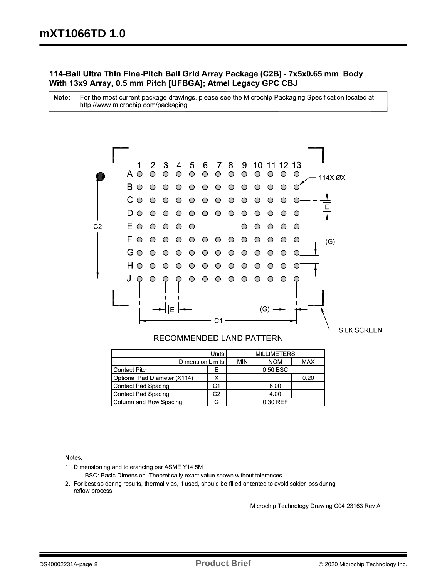#### 114-Ball Ultra Thin Fine-Pitch Ball Grid Array Package (C2B) - 7x5x0.65 mm Body With 13x9 Array, 0.5 mm Pitch [UFBGA]; Atmel Legacy GPC CBJ

Note: For the most current package drawings, please see the Microchip Packaging Specification located at http://www.microchip.com/packaging



**SILK SCREEN** 

#### RECOMMENDED LAND PATTERN

|                              |     | <b>MILLIMETERS</b> |            |      |
|------------------------------|-----|--------------------|------------|------|
| Dimension Limits             | MIN | <b>NOM</b>         | <b>MAX</b> |      |
| <b>Contact Pitch</b>         | F   |                    | 0.50 BSC   |      |
| Optional Pad Diameter (X114) |     |                    |            | 0.20 |
| <b>Contact Pad Spacing</b>   | C1  |                    | 6.00       |      |
| Contact Pad Spacing          | C2  |                    | 4.00       |      |
| Column and Row Spacing       |     |                    | 0.30 REF   |      |

Notes:

1. Dimensioning and tolerancing per ASME Y14.5M

BSC: Basic Dimension. Theoretically exact value shown without tolerances.

2. For best soldering results, thermal vias, if used, should be filled or tented to avoid solder loss during reflow process

Microchip Technology Drawing C04-23163 Rev A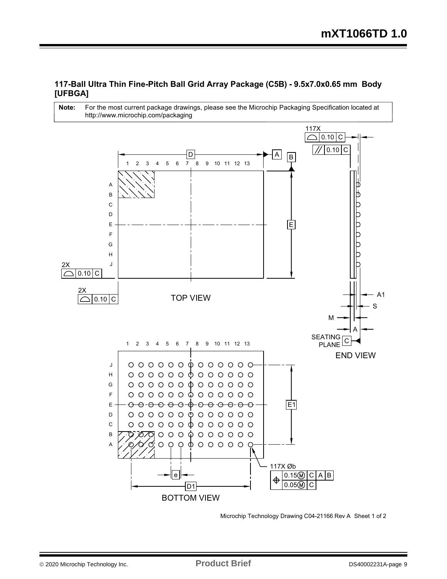### 117-Ball Ultra Thin Fine-Pitch Ball Grid Array Package (C5B) - 9.5x7.0x0.65 mm Body [UFBGA]

Note: For the most current package drawings, please see the Microchip Packaging Specification located at http://www.microchip.com/packaging



Microchip Technology Drawing C04-21166 Rev A Sheet 1 of 2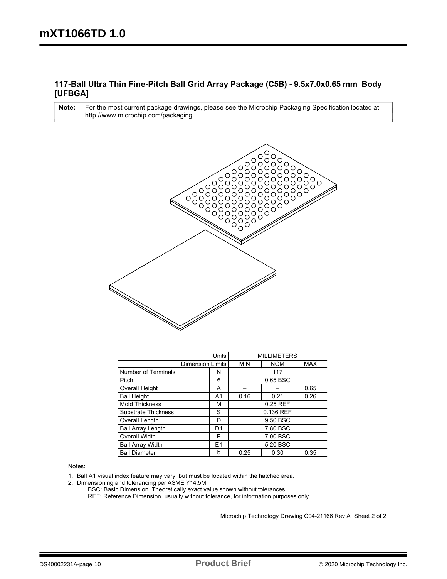#### 117-Ball Ultra Thin Fine-Pitch Ball Grid Array Package (C5B) - 9.5x7.0x0.65 mm Body [UFBGA]

Note: For the most current package drawings, please see the Microchip Packaging Specification located at http://www.microchip.com/packaging



|                            | <b>Units</b> |            | <b>MILLIMETERS</b> |            |  |
|----------------------------|--------------|------------|--------------------|------------|--|
| <b>Dimension Limits</b>    |              | <b>MIN</b> | <b>NOM</b>         | <b>MAX</b> |  |
| <b>Number of Terminals</b> | N            |            | 117                |            |  |
| Pitch                      | е            |            | 0.65 BSC           |            |  |
| Overall Height             | A            |            |                    | 0.65       |  |
| <b>Ball Height</b>         | A1           | 0.16       | 0.21               | 0.26       |  |
| <b>Mold Thickness</b>      | М            |            | 0.25 REF           |            |  |
| <b>Substrate Thickness</b> | S            |            | 0.136 REF          |            |  |
| Overall Length             | D            |            | 9.50 BSC           |            |  |
| <b>Ball Array Length</b>   | D1           |            | 7.80 BSC           |            |  |
| Overall Width              | F.           | 7.00 BSC   |                    |            |  |
| <b>Ball Array Width</b>    | E1           | 5.20 BSC   |                    |            |  |
| <b>Ball Diameter</b>       | h            | 0.25       | 0.30               | 0.35       |  |

Notes:

1. Ball A1 visual index feature may vary, but must be located within the hatched area.

2. Dimensioning and tolerancing per ASME Y14.5M

BSC: Basic Dimension. Theoretically exact value shown without tolerances.

REF: Reference Dimension, usually without tolerance, for information purposes only.

Microchip Technology Drawing C04-21166 Rev A Sheet 2 of 2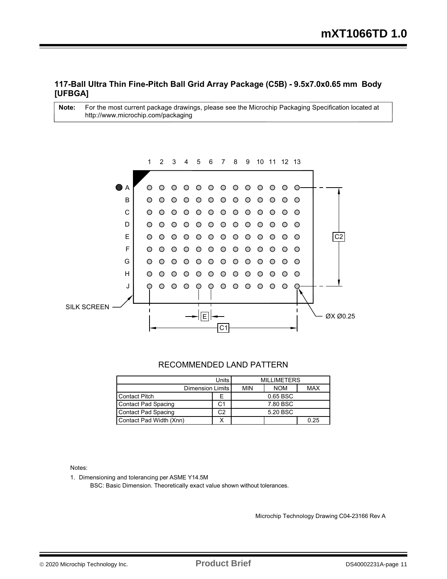### 117-Ball Ultra Thin Fine-Pitch Ball Grid Array Package (C5B) - 9.5x7.0x0.65 mm Body [UFBGA]

Note: For the most current package drawings, please see the Microchip Packaging Specification located at http://www.microchip.com/packaging



#### **RECOMMENDED LAND PATTERN**

|                         |            | <b>MILLIMETERS</b> |            |      |
|-------------------------|------------|--------------------|------------|------|
| Dimension Limits        | <b>MIN</b> | <b>NOM</b>         | <b>MAX</b> |      |
| Contact Pitch           | F          |                    | 0.65 BSC   |      |
| Contact Pad Spacing     | U J        |                    | 7.80 BSC   |      |
| Contact Pad Spacing     | C2         |                    | 5.20 BSC   |      |
| Contact Pad Width (Xnn) |            |                    |            | 0.25 |

Notes:

1. Dimensioning and tolerancing per ASME Y14.5M

BSC: Basic Dimension. Theoretically exact value shown without tolerances.

Microchip Technology Drawing C04-23166 Rev A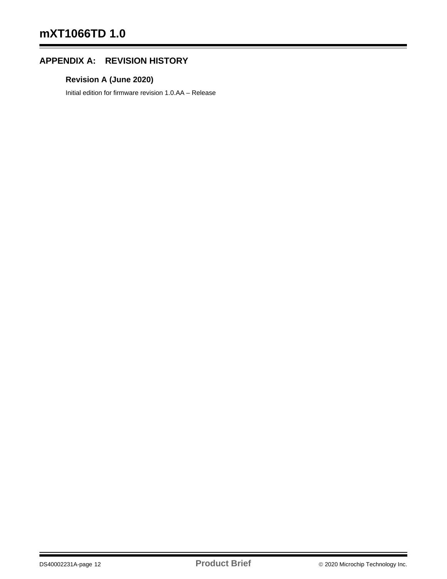### **APPENDIX A: REVISION HISTORY**

## **Revision A (June 2020)**

Initial edition for firmware revision 1.0.AA – Release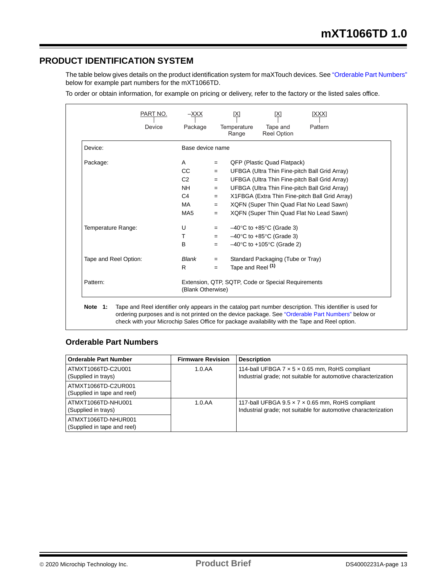### **PRODUCT IDENTIFICATION SYSTEM**

<span id="page-12-0"></span>The table below gives details on the product identification system for maXTouch devices. See ["Orderable Part Numbers"](#page-12-1) below for example part numbers for the mXT1066TD.

To order or obtain information, for example on pricing or delivery, refer to the factory or the listed sales office.

|                       | PART NO. | $-XXX$            |     | [X]                          | ΙĄΙ                                                | [XXX]                                          |  |
|-----------------------|----------|-------------------|-----|------------------------------|----------------------------------------------------|------------------------------------------------|--|
|                       | Device   | Package           |     | Temperature<br>Range         | Tape and<br><b>Reel Option</b>                     | Pattern                                        |  |
| Device:               |          | Base device name  |     |                              |                                                    |                                                |  |
| Package:              |          | A                 | $=$ |                              | <b>QFP (Plastic Quad Flatpack)</b>                 |                                                |  |
|                       |          | CC.               | $=$ |                              |                                                    | UFBGA (Ultra Thin Fine-pitch Ball Grid Array)  |  |
|                       |          | C <sub>2</sub>    | $=$ |                              |                                                    | UFBGA (Ultra Thin Fine-pitch Ball Grid Array)  |  |
|                       |          | NH.               | $=$ |                              |                                                    | UFBGA (Ultra Thin Fine-pitch Ball Grid Array)  |  |
|                       |          | C4                | $=$ |                              |                                                    | X1FBGA (Extra Thin Fine-pitch Ball Grid Array) |  |
|                       |          | MA.               | $=$ |                              |                                                    | XQFN (Super Thin Quad Flat No Lead Sawn)       |  |
|                       |          | MA <sub>5</sub>   | $=$ |                              |                                                    | XQFN (Super Thin Quad Flat No Lead Sawn)       |  |
| Temperature Range:    |          | U                 | $=$ |                              | $-40$ °C to $+85$ °C (Grade 3)                     |                                                |  |
|                       |          | т                 | $=$ |                              | $-40$ °C to $+85$ °C (Grade 3)                     |                                                |  |
|                       |          | B                 | $=$ |                              | $-40^{\circ}$ C to +105 $^{\circ}$ C (Grade 2)     |                                                |  |
| Tape and Reel Option: |          | Blank             | $=$ |                              | Standard Packaging (Tube or Tray)                  |                                                |  |
|                       |          | R                 | $=$ | Tape and Reel <sup>(1)</sup> |                                                    |                                                |  |
| Pattern:              |          | (Blank Otherwise) |     |                              | Extension, QTP, SQTP, Code or Special Requirements |                                                |  |

ordering purposes and is not printed on the device package. See ["Orderable Part Numbers"](#page-12-1) below or check with your Microchip Sales Office for package availability with the Tape and Reel option.

#### <span id="page-12-1"></span>**Orderable Part Numbers**

| <b>Orderable Part Number</b>                       | <b>Firmware Revision</b> | <b>Description</b>                                                                                                           |
|----------------------------------------------------|--------------------------|------------------------------------------------------------------------------------------------------------------------------|
| ATMXT1066TD-C2U001<br>(Supplied in trays)          | 1.0.AA                   | 114-ball UFBGA $7 \times 5 \times 0.65$ mm, RoHS compliant<br>Industrial grade; not suitable for automotive characterization |
| ATMXT1066TD-C2UR001<br>(Supplied in tape and reel) |                          |                                                                                                                              |
| ATMXT1066TD-NHU001<br>(Supplied in trays)          | 1.0.AA                   | 117-ball UFBGA 9.5 x 7 x 0.65 mm, RoHS compliant<br>Industrial grade; not suitable for automotive characterization           |
| ATMXT1066TD-NHUR001<br>(Supplied in tape and reel) |                          |                                                                                                                              |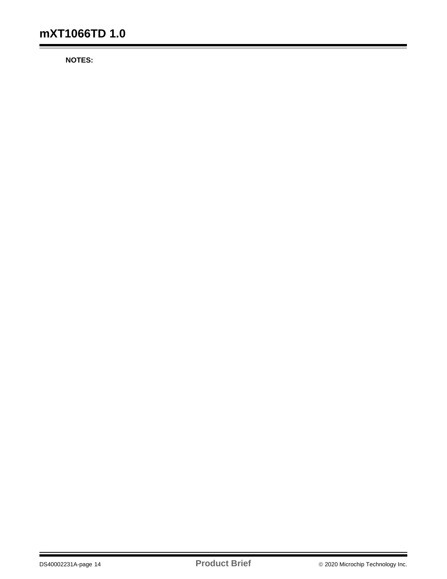**NOTES:**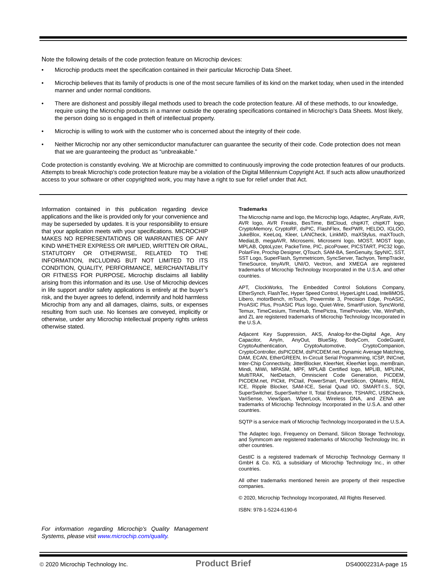Note the following details of the code protection feature on Microchip devices:

- Microchip products meet the specification contained in their particular Microchip Data Sheet.
- Microchip believes that its family of products is one of the most secure families of its kind on the market today, when used in the intended manner and under normal conditions.
- There are dishonest and possibly illegal methods used to breach the code protection feature. All of these methods, to our knowledge, require using the Microchip products in a manner outside the operating specifications contained in Microchip's Data Sheets. Most likely, the person doing so is engaged in theft of intellectual property.
- Microchip is willing to work with the customer who is concerned about the integrity of their code.
- Neither Microchip nor any other semiconductor manufacturer can guarantee the security of their code. Code protection does not mean that we are guaranteeing the product as "unbreakable."

Code protection is constantly evolving. We at Microchip are committed to continuously improving the code protection features of our products. Attempts to break Microchip's code protection feature may be a violation of the Digital Millennium Copyright Act. If such acts allow unauthorized access to your software or other copyrighted work, you may have a right to sue for relief under that Act.

Information contained in this publication regarding device applications and the like is provided only for your convenience and may be superseded by updates. It is your responsibility to ensure that your application meets with your specifications. MICROCHIP MAKES NO REPRESENTATIONS OR WARRANTIES OF ANY KIND WHETHER EXPRESS OR IMPLIED, WRITTEN OR ORAL, STATUTORY OR OTHERWISE, RELATED TO THE INFORMATION, INCLUDING BUT NOT LIMITED TO ITS CONDITION, QUALITY, PERFORMANCE, MERCHANTABILITY OR FITNESS FOR PURPOSE**.** Microchip disclaims all liability arising from this information and its use. Use of Microchip devices in life support and/or safety applications is entirely at the buyer's risk, and the buyer agrees to defend, indemnify and hold harmless Microchip from any and all damages, claims, suits, or expenses resulting from such use. No licenses are conveyed, implicitly or otherwise, under any Microchip intellectual property rights unless otherwise stated.

#### **Trademarks**

The Microchip name and logo, the Microchip logo, Adaptec, AnyRate, AVR, AVR logo, AVR Freaks, BesTime, BitCloud, chipKIT, chipKIT logo, CryptoMemory, CryptoRF, dsPIC, FlashFlex, flexPWR, HELDO, IGLOO, JukeBlox, KeeLoq, Kleer, LANCheck, LinkMD, maXStylus, maXTouch, MediaLB, megaAVR, Microsemi, Microsemi logo, MOST, MOST logo, MPLAB, OptoLyzer, PackeTime, PIC, picoPower, PICSTART, PIC32 logo, PolarFire, Prochip Designer, QTouch, SAM-BA, SenGenuity, SpyNIC, SST, SST Logo, SuperFlash, Symmetricom, SyncServer, Tachyon, TempTrackr, TimeSource, tinyAVR, UNI/O, Vectron, and XMEGA are registered trademarks of Microchip Technology Incorporated in the U.S.A. and other countries.

APT, ClockWorks, The Embedded Control Solutions Company, EtherSynch, FlashTec, Hyper Speed Control, HyperLight Load, IntelliMOS, Libero, motorBench, mTouch, Powermite 3, Precision Edge, ProASIC, ProASIC Plus, ProASIC Plus logo, Quiet-Wire, SmartFusion, SyncWorld, Temux, TimeCesium, TimeHub, TimePictra, TimeProvider, Vite, WinPath, and ZL are registered trademarks of Microchip Technology Incorporated in the U.S.A.

Adjacent Key Suppression, AKS, Analog-for-the-Digital Age, Any Capacitor, AnyIn, AnyOut, BlueSky, BodyCom, CodeGuard,<br>CryptoAuthentication. CryptoAutomotive. CryptoCompanion. CryptoAutomotive, CryptoController, dsPICDEM, dsPICDEM.net, Dynamic Average Matching, DAM, ECAN, EtherGREEN, In-Circuit Serial Programming, ICSP, INICnet, Inter-Chip Connectivity, JitterBlocker, KleerNet, KleerNet logo, memBrain, Mindi, MiWi, MPASM, MPF, MPLAB Certified logo, MPLIB, MPLINK, MultiTRAK, NetDetach, Omniscient Code Generation, PICDEM, PICDEM.net, PICkit, PICtail, PowerSmart, PureSilicon, QMatrix, REAL ICE, Ripple Blocker, SAM-ICE, Serial Quad I/O, SMART-I.S., SQI, SuperSwitcher, SuperSwitcher II, Total Endurance, TSHARC, USBCheck, VariSense, ViewSpan, WiperLock, Wireless DNA, and ZENA are trademarks of Microchip Technology Incorporated in the U.S.A. and other countries.

SQTP is a service mark of Microchip Technology Incorporated in the U.S.A.

The Adaptec logo, Frequency on Demand, Silicon Storage Technology, and Symmcom are registered trademarks of Microchip Technology Inc. in other countries.

GestIC is a registered trademark of Microchip Technology Germany II GmbH & Co. KG, a subsidiary of Microchip Technology Inc., in other countries.

All other trademarks mentioned herein are property of their respective companies.

© 2020, Microchip Technology Incorporated, All Rights Reserved.

ISBN: 978-1-5224-6190-6

*[For information regarding Microchip's Quality Management](www.microchip.com/quality) [Systems, please visit w](www.microchip.com/quality)ww.microchip.com/quality.*